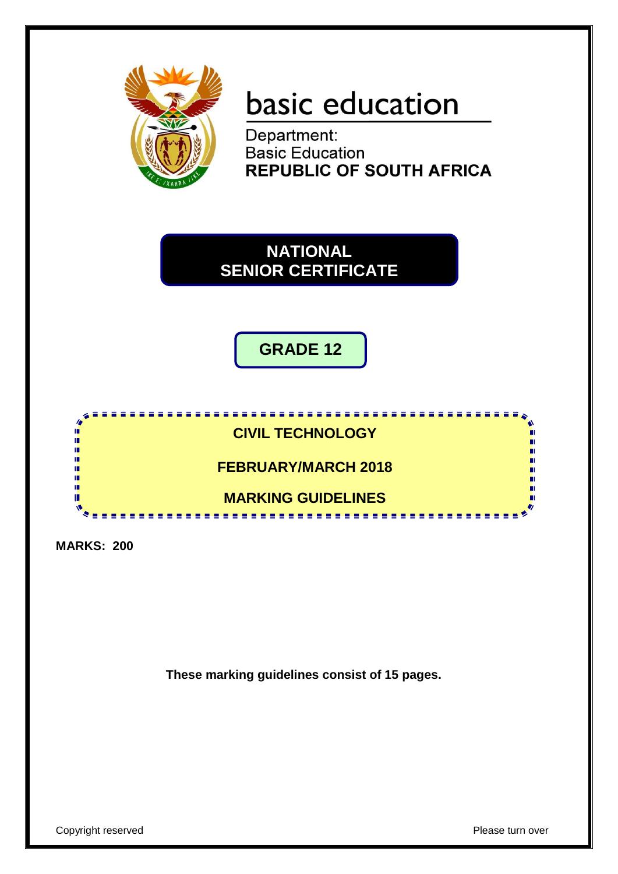

# basic education

Department:<br>Basic Education **REPUBLIC OF SOUTH AFRICA** 



**GRADE 12**



**MARKS: 200**

**These marking guidelines consist of 15 pages.**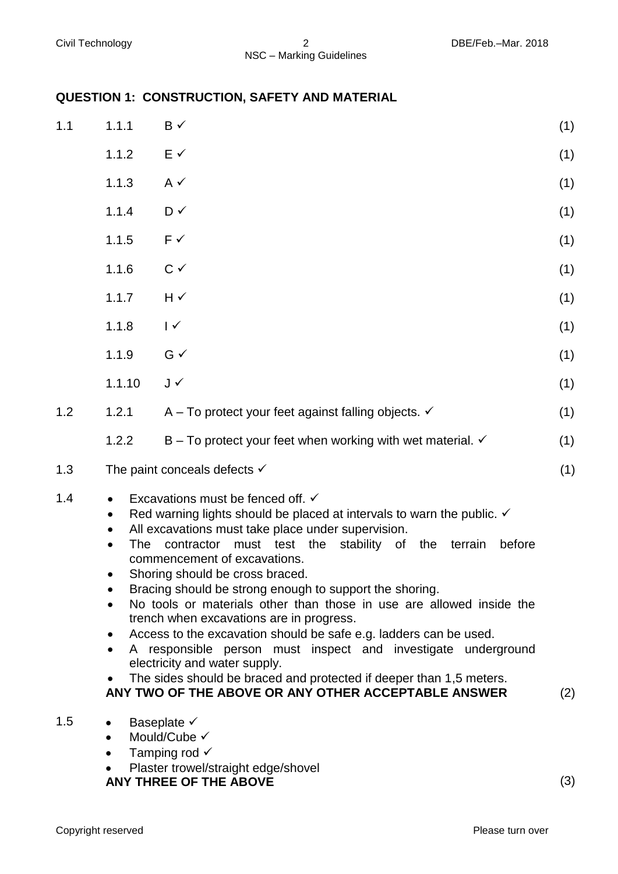# **QUESTION 1: CONSTRUCTION, SAFETY AND MATERIAL**

| 1.1 | 1.1.1                                                                                                                                                                                                                                                                                                                                                                                                                                                                                                                                                                                                                                                                                                                                                                                                                                          | $B \checkmark$                                                                                  | (1) |
|-----|------------------------------------------------------------------------------------------------------------------------------------------------------------------------------------------------------------------------------------------------------------------------------------------------------------------------------------------------------------------------------------------------------------------------------------------------------------------------------------------------------------------------------------------------------------------------------------------------------------------------------------------------------------------------------------------------------------------------------------------------------------------------------------------------------------------------------------------------|-------------------------------------------------------------------------------------------------|-----|
|     | 1.1.2                                                                                                                                                                                                                                                                                                                                                                                                                                                                                                                                                                                                                                                                                                                                                                                                                                          | $E \checkmark$                                                                                  | (1) |
|     | 1.1.3                                                                                                                                                                                                                                                                                                                                                                                                                                                                                                                                                                                                                                                                                                                                                                                                                                          | $A \vee$                                                                                        | (1) |
|     | 1.1.4                                                                                                                                                                                                                                                                                                                                                                                                                                                                                                                                                                                                                                                                                                                                                                                                                                          | D ✓                                                                                             | (1) |
|     | 1.1.5                                                                                                                                                                                                                                                                                                                                                                                                                                                                                                                                                                                                                                                                                                                                                                                                                                          | $F \checkmark$                                                                                  | (1) |
|     | 1.1.6                                                                                                                                                                                                                                                                                                                                                                                                                                                                                                                                                                                                                                                                                                                                                                                                                                          | $C \vee$                                                                                        | (1) |
|     | 1.1.7                                                                                                                                                                                                                                                                                                                                                                                                                                                                                                                                                                                                                                                                                                                                                                                                                                          | $H \sim$                                                                                        | (1) |
|     | 1.1.8                                                                                                                                                                                                                                                                                                                                                                                                                                                                                                                                                                                                                                                                                                                                                                                                                                          | $\sqrt{ }$                                                                                      | (1) |
|     | 1.1.9                                                                                                                                                                                                                                                                                                                                                                                                                                                                                                                                                                                                                                                                                                                                                                                                                                          | $G \checkmark$                                                                                  | (1) |
|     | 1.1.10                                                                                                                                                                                                                                                                                                                                                                                                                                                                                                                                                                                                                                                                                                                                                                                                                                         | J√                                                                                              | (1) |
| 1.2 | 1.2.1                                                                                                                                                                                                                                                                                                                                                                                                                                                                                                                                                                                                                                                                                                                                                                                                                                          | A – To protect your feet against falling objects. $\checkmark$                                  | (1) |
|     | 1.2.2                                                                                                                                                                                                                                                                                                                                                                                                                                                                                                                                                                                                                                                                                                                                                                                                                                          | B – To protect your feet when working with wet material. $\checkmark$                           | (1) |
| 1.3 |                                                                                                                                                                                                                                                                                                                                                                                                                                                                                                                                                                                                                                                                                                                                                                                                                                                | The paint conceals defects $\checkmark$                                                         | (1) |
| 1.4 | Excavations must be fenced off. √<br>Red warning lights should be placed at intervals to warn the public. $\checkmark$<br>$\bullet$<br>All excavations must take place under supervision.<br>contractor<br>must test the<br>stability of<br>terrain<br>before<br>The<br>the<br>commencement of excavations.<br>Shoring should be cross braced<br>Bracing should be strong enough to support the shoring.<br>No tools or materials other than those in use are allowed inside the<br>trench when excavations are in progress.<br>Access to the excavation should be safe e.g. ladders can be used.<br>$\bullet$<br>A responsible person must inspect and investigate underground<br>electricity and water supply.<br>The sides should be braced and protected if deeper than 1,5 meters.<br>ANY TWO OF THE ABOVE OR ANY OTHER ACCEPTABLE ANSWER |                                                                                                 |     |
| 1.5 | $\bullet$                                                                                                                                                                                                                                                                                                                                                                                                                                                                                                                                                                                                                                                                                                                                                                                                                                      | Baseplate $\checkmark$<br>Mould/Cube V<br>Tamping rod √<br>Dlostor trouvol/stroight adgo/shovel |     |

• Plaster trowel/straight edge/shovel **ANY THREE OF THE ABOVE** (3)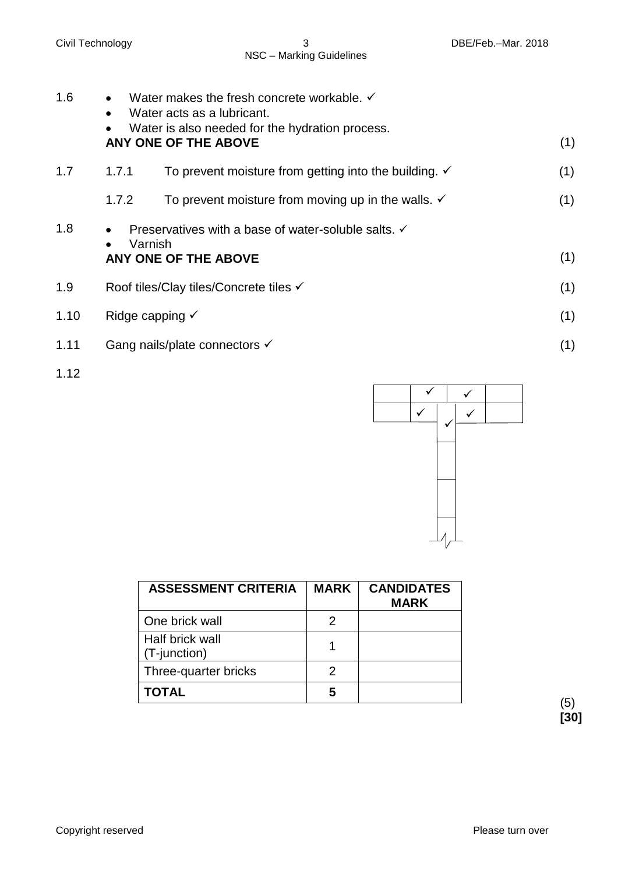- 1.6  $\bullet$  Water makes the fresh concrete workable.  $\checkmark$  Water acts as a lubricant. Water is also needed for the hydration process. **ANY ONE OF THE ABOVE** (1) 1.7 1.7.1 1.7.2 To prevent moisture from getting into the building.  $\checkmark$ To prevent moisture from moving up in the walls.  $\checkmark$ (1) (1) 1.8 • Preservatives with a base of water-soluble salts.  $\checkmark$  Varnish **ANY ONE OF THE ABOVE** (1) 1.9 Roof tiles/Clay tiles/Concrete tiles  $\checkmark$  (1) 1.10 Ridge capping  $\checkmark$  (1) 1.11 Gang nails/plate connectors  $\checkmark$  (1)
- 1.12

| <b>ASSESSMENT CRITERIA</b>      | <b>MARK</b> | <b>CANDIDATES</b><br><b>MARK</b> |
|---------------------------------|-------------|----------------------------------|
| One brick wall                  | 2           |                                  |
| Half brick wall<br>(T-junction) |             |                                  |
| Three-quarter bricks            | 2           |                                  |
| <b>TOTAL</b>                    | 5           |                                  |

(5) **[30]**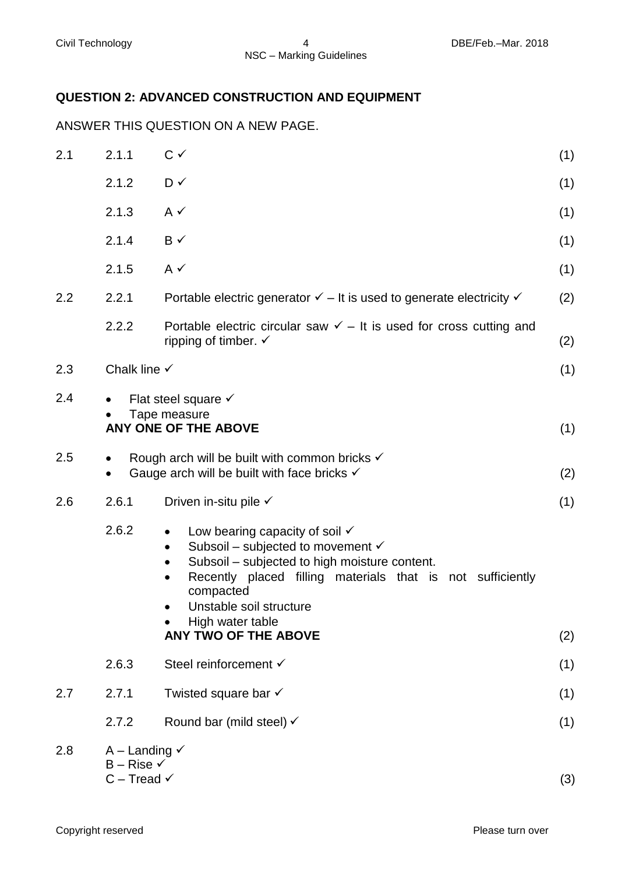# **QUESTION 2: ADVANCED CONSTRUCTION AND EQUIPMENT**

ANSWER THIS QUESTION ON A NEW PAGE.

| 2.1 | 2.1.1                                                                           | $C \checkmark$                                                                                                                                                                                                                                                                                                              | (1) |
|-----|---------------------------------------------------------------------------------|-----------------------------------------------------------------------------------------------------------------------------------------------------------------------------------------------------------------------------------------------------------------------------------------------------------------------------|-----|
|     | 2.1.2                                                                           | D✓                                                                                                                                                                                                                                                                                                                          | (1) |
|     | 2.1.3                                                                           | $A \checkmark$                                                                                                                                                                                                                                                                                                              | (1) |
|     | 2.1.4                                                                           | $B \checkmark$                                                                                                                                                                                                                                                                                                              | (1) |
|     | 2.1.5                                                                           | $A \checkmark$                                                                                                                                                                                                                                                                                                              | (1) |
| 2.2 | 2.2.1                                                                           | Portable electric generator $\checkmark$ – It is used to generate electricity $\checkmark$                                                                                                                                                                                                                                  | (2) |
|     | 2.2.2                                                                           | Portable electric circular saw $\checkmark$ – It is used for cross cutting and<br>ripping of timber. $\checkmark$                                                                                                                                                                                                           | (2) |
| 2.3 | Chalk line $\checkmark$                                                         |                                                                                                                                                                                                                                                                                                                             | (1) |
| 2.4 | $\bullet$                                                                       | Flat steel square $\checkmark$<br>Tape measure<br>ANY ONE OF THE ABOVE                                                                                                                                                                                                                                                      | (1) |
| 2.5 | $\bullet$<br>$\bullet$                                                          | Rough arch will be built with common bricks $\checkmark$<br>Gauge arch will be built with face bricks $\checkmark$                                                                                                                                                                                                          | (2) |
| 2.6 | 2.6.1                                                                           | Driven in-situ pile $\checkmark$                                                                                                                                                                                                                                                                                            | (1) |
|     | 2.6.2                                                                           | Low bearing capacity of soil $\checkmark$<br>$\bullet$<br>Subsoil – subjected to movement $\checkmark$<br>٠<br>Subsoil – subjected to high moisture content.<br>Recently placed filling materials that is not sufficiently<br>$\bullet$<br>compacted<br>Unstable soil structure<br>High water table<br>ANY TWO OF THE ABOVE | (2) |
|     | 2.6.3                                                                           | Steel reinforcement √                                                                                                                                                                                                                                                                                                       | (1) |
| 2.7 | 2.7.1                                                                           | Twisted square bar $\checkmark$                                                                                                                                                                                                                                                                                             | (1) |
|     | 2.7.2                                                                           | Round bar (mild steel) $\checkmark$                                                                                                                                                                                                                                                                                         | (1) |
| 2.8 | A – Landing $\checkmark$<br>$B -$ Rise $\checkmark$<br>$C$ – Tread $\checkmark$ |                                                                                                                                                                                                                                                                                                                             | (3) |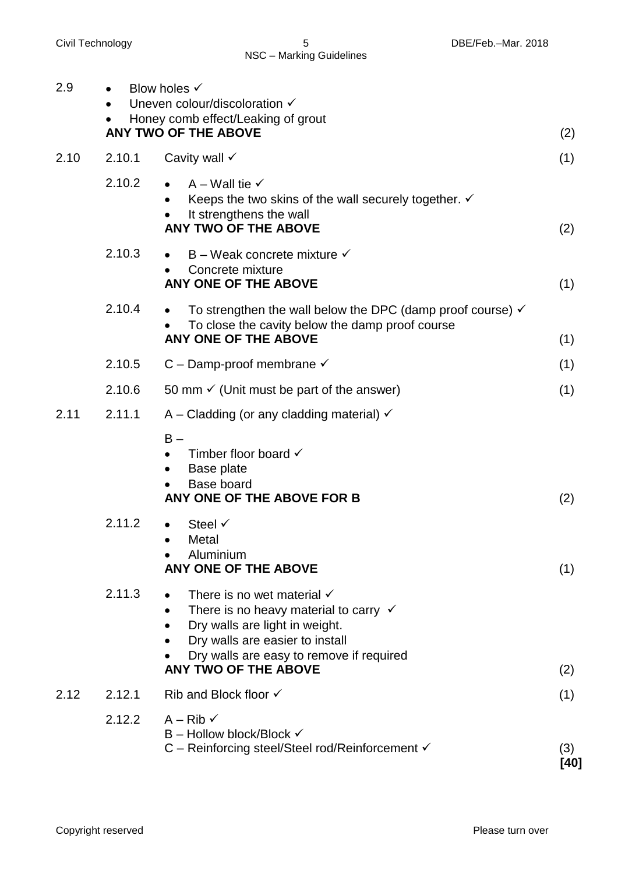| 2.9  |        | Blow holes $\checkmark$<br>Uneven colour/discoloration $\checkmark$<br>Honey comb effect/Leaking of grout<br>ANY TWO OF THE ABOVE                                                                                                                                   | (2)         |
|------|--------|---------------------------------------------------------------------------------------------------------------------------------------------------------------------------------------------------------------------------------------------------------------------|-------------|
| 2.10 | 2.10.1 | Cavity wall $\checkmark$                                                                                                                                                                                                                                            | (1)         |
|      | 2.10.2 | $A -$ Wall tie $\checkmark$<br>Keeps the two skins of the wall securely together. $\checkmark$<br>$\bullet$<br>It strengthens the wall<br><b>ANY TWO OF THE ABOVE</b>                                                                                               | (2)         |
|      | 2.10.3 | $B -$ Weak concrete mixture $\checkmark$<br>$\bullet$<br>Concrete mixture<br>ANY ONE OF THE ABOVE                                                                                                                                                                   | (1)         |
|      | 2.10.4 | To strengthen the wall below the DPC (damp proof course) $\checkmark$<br>$\bullet$<br>To close the cavity below the damp proof course<br>ANY ONE OF THE ABOVE                                                                                                       | (1)         |
|      | 2.10.5 | C – Damp-proof membrane $\checkmark$                                                                                                                                                                                                                                | (1)         |
|      | 2.10.6 | 50 mm $\checkmark$ (Unit must be part of the answer)                                                                                                                                                                                                                | (1)         |
| 2.11 | 2.11.1 | A – Cladding (or any cladding material) $\checkmark$<br>$B -$<br>Timber floor board $\checkmark$<br>Base plate<br>$\bullet$<br><b>Base board</b><br>ANY ONE OF THE ABOVE FOR B                                                                                      | (2)         |
|      | 2.11.2 | Steel $\checkmark$<br>Metal<br>Aluminium<br>ANY ONE OF THE ABOVE                                                                                                                                                                                                    | (1)         |
|      | 2.11.3 | There is no wet material $\checkmark$<br>There is no heavy material to carry $\checkmark$<br>$\bullet$<br>Dry walls are light in weight.<br>Dry walls are easier to install<br>$\bullet$<br>Dry walls are easy to remove if required<br><b>ANY TWO OF THE ABOVE</b> | (2)         |
| 2.12 | 2.12.1 | Rib and Block floor $\checkmark$                                                                                                                                                                                                                                    | (1)         |
|      | 2.12.2 | $A - Rib \checkmark$<br>$B -$ Hollow block/Block $\checkmark$<br>C – Reinforcing steel/Steel rod/Reinforcement √                                                                                                                                                    | (3)<br>[40] |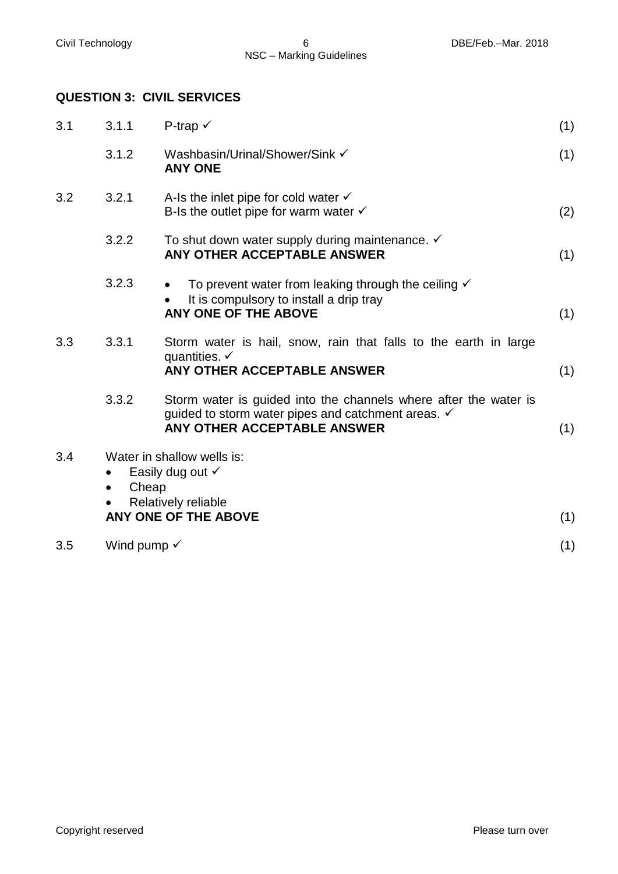## **QUESTION 3: CIVIL SERVICES**

| 3.1.1                                                                                                                      | P-trap $\checkmark$                                                                                                                                   | (1)                    |
|----------------------------------------------------------------------------------------------------------------------------|-------------------------------------------------------------------------------------------------------------------------------------------------------|------------------------|
| 3.1.2                                                                                                                      | Washbasin/Urinal/Shower/Sink √<br><b>ANY ONE</b>                                                                                                      | (1)                    |
| 3.2.1                                                                                                                      | A-Is the inlet pipe for cold water $\checkmark$<br>B-Is the outlet pipe for warm water $\checkmark$                                                   | (2)                    |
| 3.2.2                                                                                                                      | To shut down water supply during maintenance. ✓<br>ANY OTHER ACCEPTABLE ANSWER                                                                        | (1)                    |
| 3.2.3                                                                                                                      | To prevent water from leaking through the ceiling $\checkmark$<br>It is compulsory to install a drip tray<br><b>ANY ONE OF THE ABOVE</b>              | (1)                    |
| 3.3.1                                                                                                                      | Storm water is hail, snow, rain that falls to the earth in large<br>quantities. $\checkmark$<br>ANY OTHER ACCEPTABLE ANSWER                           | (1)                    |
| 3.3.2                                                                                                                      | Storm water is guided into the channels where after the water is<br>guided to storm water pipes and catchment areas. V<br>ANY OTHER ACCEPTABLE ANSWER | (1)                    |
| Water in shallow wells is:<br>Easily dug out √<br>Cheap<br>$\bullet$<br>Relatively reliable<br><b>ANY ONE OF THE ABOVE</b> |                                                                                                                                                       |                        |
|                                                                                                                            |                                                                                                                                                       | (1)                    |
|                                                                                                                            |                                                                                                                                                       | Wind pump $\checkmark$ |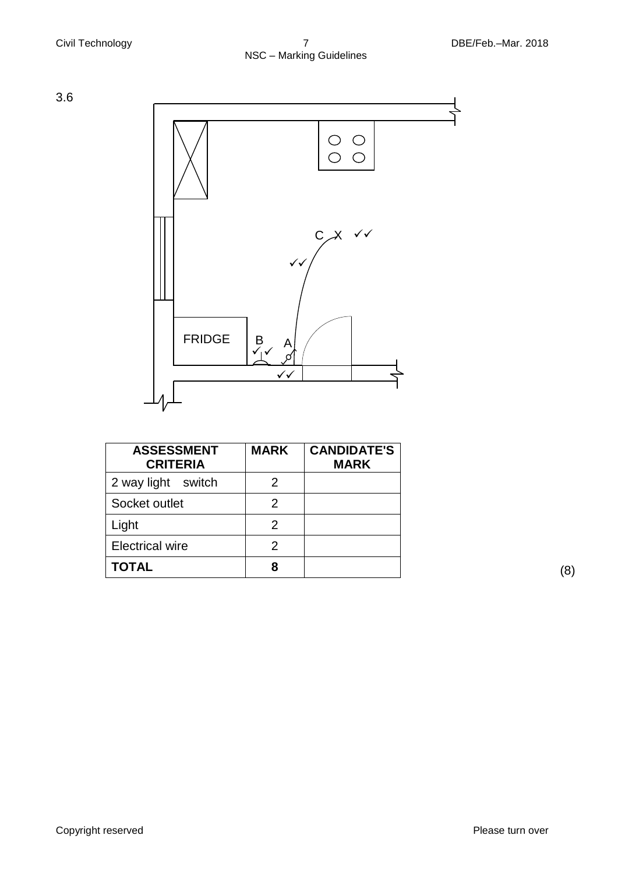3.6



| <b>ASSESSMENT</b><br><b>CRITERIA</b> | <b>MARK</b>    | <b>CANDIDATE'S</b><br><b>MARK</b> |
|--------------------------------------|----------------|-----------------------------------|
| 2 way light switch                   | 2              |                                   |
| Socket outlet                        | $\overline{2}$ |                                   |
| Light                                | 2              |                                   |
| <b>Electrical wire</b>               | $\overline{2}$ |                                   |
| <b>TOTAL</b>                         | 8              |                                   |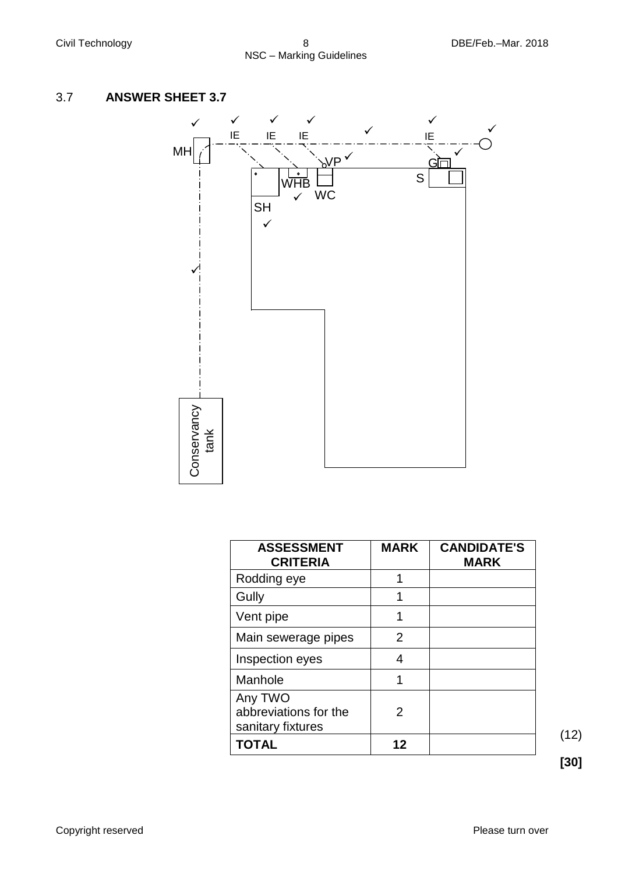# 3.7 **ANSWER SHEET 3.7**



| <b>ASSESSMENT</b><br><b>CRITERIA</b>                  | <b>MARK</b> | <b>CANDIDATE'S</b><br><b>MARK</b> |
|-------------------------------------------------------|-------------|-----------------------------------|
| Rodding eye                                           | 1           |                                   |
| Gully                                                 |             |                                   |
| Vent pipe                                             |             |                                   |
| Main sewerage pipes                                   | 2           |                                   |
| Inspection eyes                                       | 4           |                                   |
| Manhole                                               |             |                                   |
| Any TWO<br>abbreviations for the<br>sanitary fixtures | 2           |                                   |
| <b>TOTAL</b>                                          | 12          |                                   |

(12)

**[30]**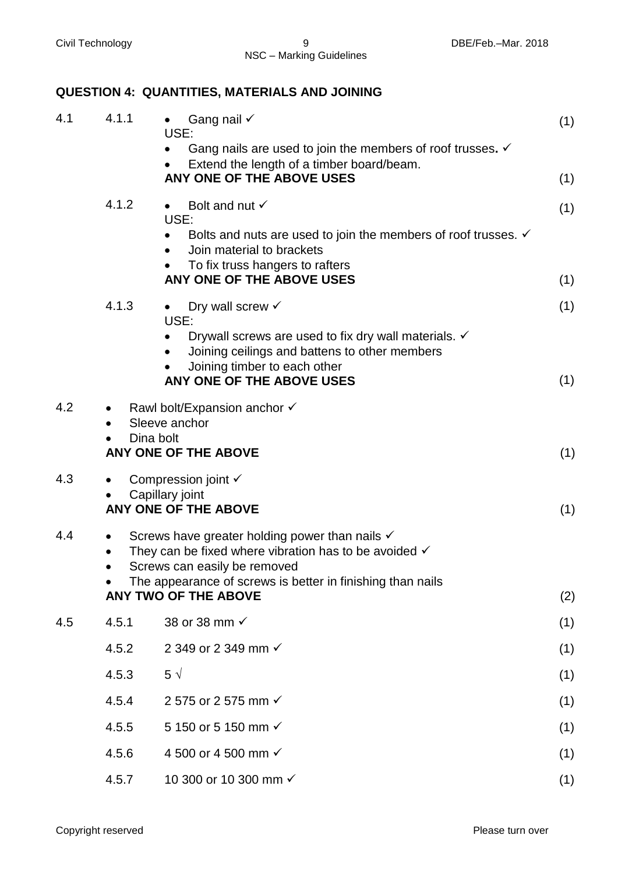# **QUESTION 4: QUANTITIES, MATERIALS AND JOINING**

| 4.1 | 4.1.1                      | Gang nail $\checkmark$<br>$\bullet$<br>USE:                                                                                   | (1) |
|-----|----------------------------|-------------------------------------------------------------------------------------------------------------------------------|-----|
|     |                            | Gang nails are used to join the members of roof trusses. $\checkmark$                                                         |     |
|     |                            | Extend the length of a timber board/beam.<br>ANY ONE OF THE ABOVE USES                                                        |     |
|     |                            |                                                                                                                               | (1) |
|     | 4.1.2                      | Bolt and nut $\checkmark$<br>$\bullet$<br>USE:                                                                                | (1) |
|     |                            | Bolts and nuts are used to join the members of roof trusses. $\checkmark$                                                     |     |
|     |                            | Join material to brackets                                                                                                     |     |
|     |                            | To fix truss hangers to rafters<br>ANY ONE OF THE ABOVE USES                                                                  | (1) |
|     | 4.1.3                      | Dry wall screw $\checkmark$<br>$\bullet$                                                                                      | (1) |
|     |                            | USE:                                                                                                                          |     |
|     |                            | Drywall screws are used to fix dry wall materials. $\checkmark$<br>Joining ceilings and battens to other members              |     |
|     |                            | Joining timber to each other                                                                                                  |     |
|     |                            | ANY ONE OF THE ABOVE USES                                                                                                     | (1) |
| 4.2 |                            | Rawl bolt/Expansion anchor √                                                                                                  |     |
|     | Sleeve anchor<br>Dina bolt |                                                                                                                               |     |
|     |                            | ANY ONE OF THE ABOVE                                                                                                          | (1) |
| 4.3 |                            | Compression joint √                                                                                                           |     |
|     |                            | Capillary joint<br><b>ANY ONE OF THE ABOVE</b>                                                                                | (1) |
|     |                            |                                                                                                                               |     |
| 4.4 |                            | Screws have greater holding power than nails $\checkmark$<br>They can be fixed where vibration has to be avoided $\checkmark$ |     |
|     |                            | Screws can easily be removed                                                                                                  |     |
|     |                            | The appearance of screws is better in finishing than nails<br><b>ANY TWO OF THE ABOVE</b>                                     | (2) |
|     |                            |                                                                                                                               |     |
| 4.5 | 4.5.1                      | 38 or 38 mm √                                                                                                                 | (1) |
|     | 4.5.2                      | 2 349 or 2 349 mm √                                                                                                           | (1) |
|     | 4.5.3                      | $5 \sqrt$                                                                                                                     | (1) |
|     | 4.5.4                      | 2 575 or 2 575 mm √                                                                                                           | (1) |
|     | 4.5.5                      | 5 150 or 5 150 mm √                                                                                                           | (1) |
|     | 4.5.6                      | 4 500 or 4 500 mm √                                                                                                           | (1) |
|     | 4.5.7                      | 10 300 or 10 300 mm √                                                                                                         | (1) |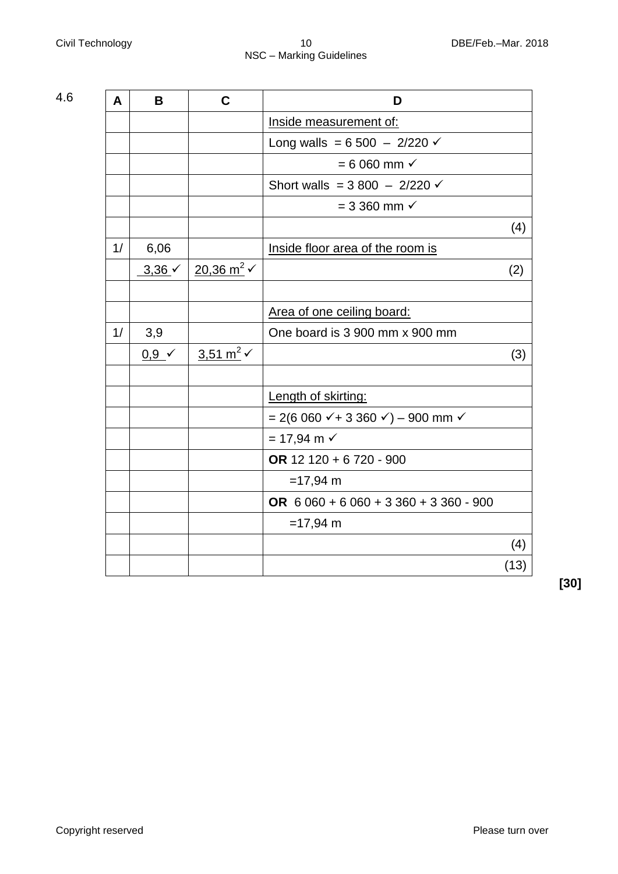| 4.6 | A  | B                 | $\mathbf C$                      | D                                                 |      |
|-----|----|-------------------|----------------------------------|---------------------------------------------------|------|
|     |    |                   |                                  | Inside measurement of:                            |      |
|     |    |                   |                                  | Long walls = $6\,500 - 2/220$ $\times$            |      |
|     |    |                   |                                  | $= 6060$ mm $\checkmark$                          |      |
|     |    |                   |                                  | Short walls = $3\,800 - 2/220 \checkmark$         |      |
|     |    |                   |                                  | $= 3360$ mm $\checkmark$                          |      |
|     |    |                   |                                  |                                                   | (4)  |
|     | 1/ | 6,06              |                                  | Inside floor area of the room is                  |      |
|     |    | $3,36 \checkmark$ | $20,36 \text{ m}^2$ $\checkmark$ |                                                   | (2)  |
|     |    |                   |                                  |                                                   |      |
|     |    |                   |                                  | Area of one ceiling board:                        |      |
|     | 1/ | 3,9               |                                  | One board is 3 900 mm x 900 mm                    |      |
|     |    | $0,9 \checkmark$  | 3,51 m <sup>2</sup> $\checkmark$ |                                                   | (3)  |
|     |    |                   |                                  |                                                   |      |
|     |    |                   |                                  | Length of skirting:                               |      |
|     |    |                   |                                  | $= 2(6 060 \times 3 360 \times ) - 900$ mm $\sim$ |      |
|     |    |                   |                                  | $= 17,94 \text{ m}$                               |      |
|     |    |                   |                                  | OR 12 120 + 6 720 - 900                           |      |
|     |    |                   |                                  | $=17,94 \text{ m}$                                |      |
|     |    |                   |                                  | OR $6060 + 6060 + 3360 + 3360 - 900$              |      |
|     |    |                   |                                  | $=17,94 \text{ m}$                                |      |
|     |    |                   |                                  |                                                   | (4)  |
|     |    |                   |                                  |                                                   | (13) |
|     |    |                   |                                  |                                                   |      |

**[30]**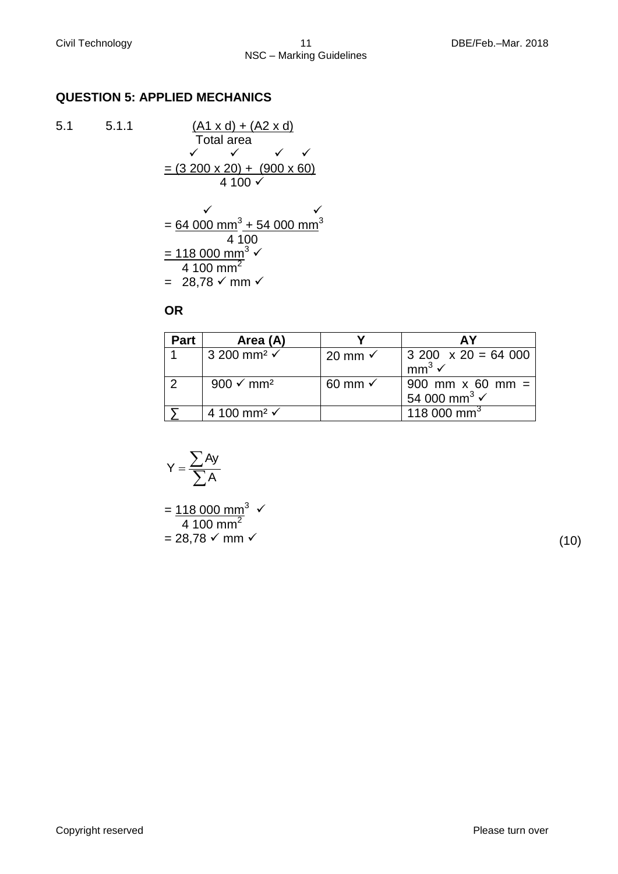### **QUESTION 5: APPLIED MECHANICS**

 $5.1$   $5.1.1$ 

$$
\frac{(A1 \times d) + (A2 \times d)}{\text{Total area}}
$$
\n= (3 200 × 20) + (900 × 60)\n  
\n4 100 ×  
\n= 64 000 mm<sup>3</sup> + 54 000 mm<sup>3</sup>\n  
\n= 118 000 mm<sup>3</sup> ×  
\n4 100 mm<sup>2</sup>

**OR**

=  $28,78 \checkmark$  mm  $\checkmark$ 

#### **Part Area (A) Y AY** 1 3 200 mm<sup>2</sup>  $\checkmark$  20 mm  $\checkmark$  3 200 x 20 = 64 000  $mm^3$   $\checkmark$ 2  $\mid$  900 ✓ mm²  $\mid$  60 mm ✓  $\mid$  900 mm x 60 mm = 54 000 mm<sup>3</sup> $\checkmark$  $\sum$  4 100 mm<sup>2</sup>  $\checkmark$  118 000 mm<sup>3</sup> 20 mm  $\checkmark$

$$
Y = \frac{\sum Ay}{\sum A}
$$

 $=$  118 000 mm<sup>3</sup>  $\checkmark$  $\frac{1}{4}$  100 mm<sup>2</sup>  $= 28,78 \checkmark$  mm  $\checkmark$  (10)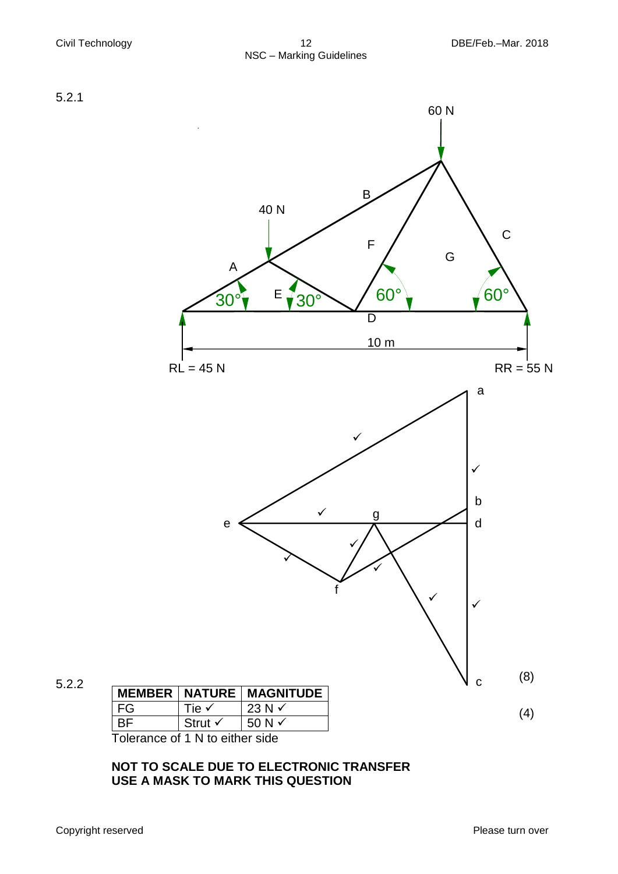



5.2.2

|    |                    | <b>MEMBER   NATURE   MAGNITUDE</b> |
|----|--------------------|------------------------------------|
| FG | Tie √              | 23 N $\checkmark$                  |
| ВF | Strut $\checkmark$ | 50 N $\checkmark$                  |

Tolerance of 1 N to either side

## **NOT TO SCALE DUE TO ELECTRONIC TRANSFER USE A MASK TO MARK THIS QUESTION**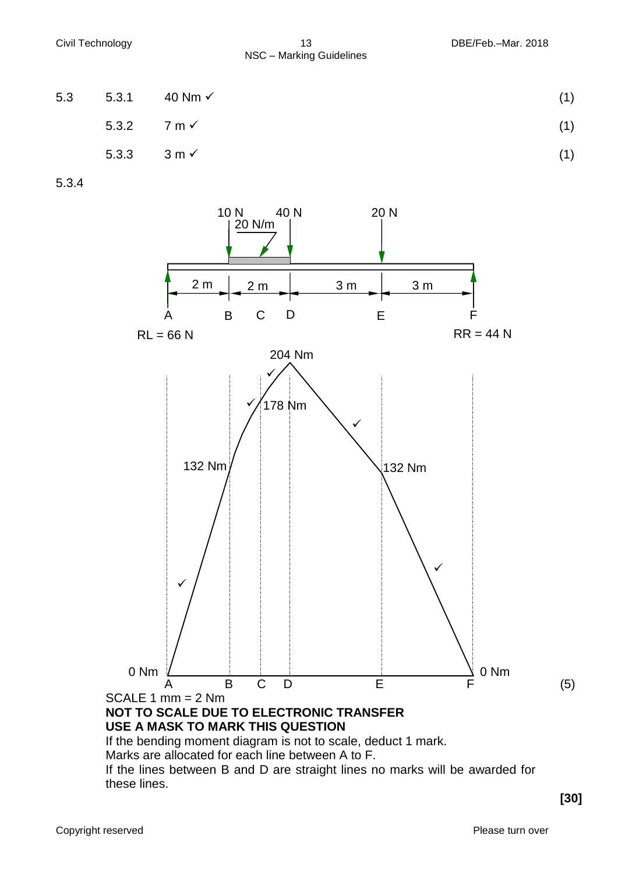| 5.3 |                        | 5.3.1 40 Nm $\checkmark$ | (1) |
|-----|------------------------|--------------------------|-----|
|     | 5.3.2 $7 \text{ m}$    |                          | (1) |
|     | 5.3.3 3 m $\checkmark$ |                          | (1) |

5.3.4



If the lines between B and D are straight lines no marks will be awarded for these lines.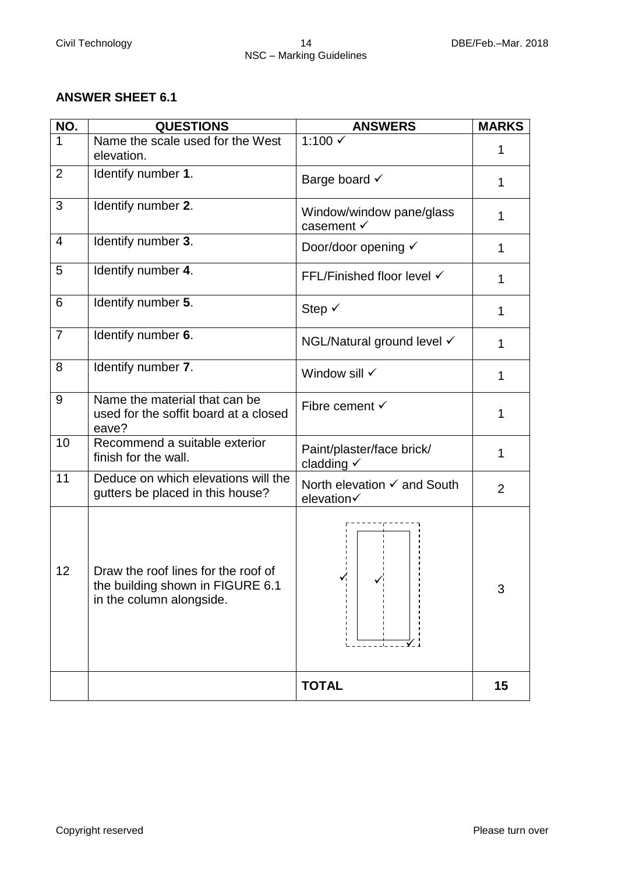## **ANSWER SHEET 6.1**

| NO.            | <b>QUESTIONS</b>                                                                                    | <b>ANSWERS</b>                                       | <b>MARKS</b>   |
|----------------|-----------------------------------------------------------------------------------------------------|------------------------------------------------------|----------------|
| $\mathbf{1}$   | Name the scale used for the West<br>elevation.                                                      | 1:100 √                                              | 1              |
| $\overline{2}$ | Identify number 1.                                                                                  | Barge board √                                        | 1              |
| 3              | Identify number 2.                                                                                  | Window/window pane/glass<br>casement √               | 1              |
| $\overline{4}$ | Identify number 3.                                                                                  | Door/door opening √                                  | 1              |
| 5              | Identify number 4.                                                                                  | FFL/Finished floor level √                           | 1              |
| 6              | Identify number 5.                                                                                  | Step $\checkmark$                                    | 1              |
| $\overline{7}$ | Identify number 6.                                                                                  | NGL/Natural ground level √                           | 1              |
| 8              | Identify number 7.                                                                                  | Window sill √                                        | 1              |
| 9              | Name the material that can be<br>used for the soffit board at a closed<br>eave?                     | Fibre cement $\checkmark$                            | 1              |
| 10             | Recommend a suitable exterior<br>finish for the wall.                                               | Paint/plaster/face brick/<br>cladding $\checkmark$   | 1              |
| 11             | Deduce on which elevations will the<br>gutters be placed in this house?                             | North elevation <del>V</del> and South<br>elevation√ | $\overline{2}$ |
| 12             | Draw the roof lines for the roof of<br>the building shown in FIGURE 6.1<br>in the column alongside. | ✓                                                    | 3              |
|                |                                                                                                     | <b>TOTAL</b>                                         | 15             |